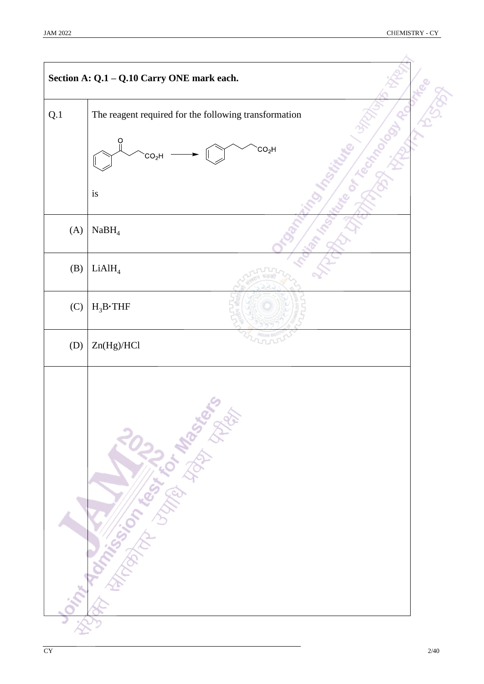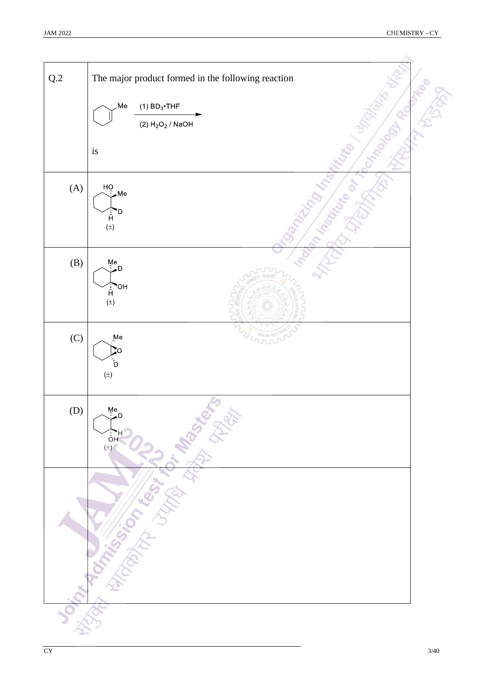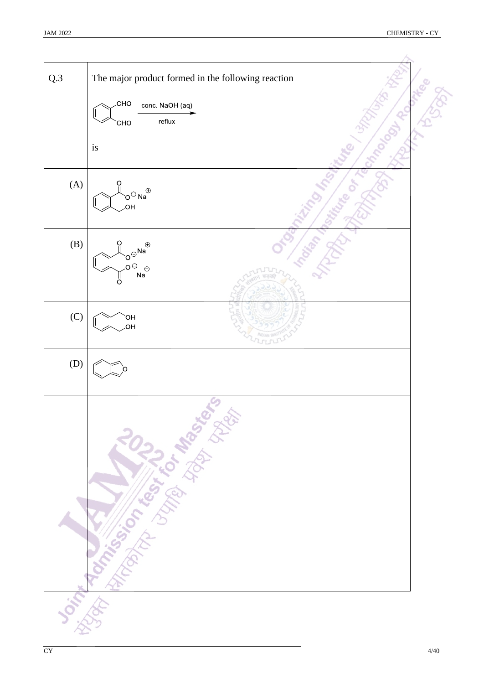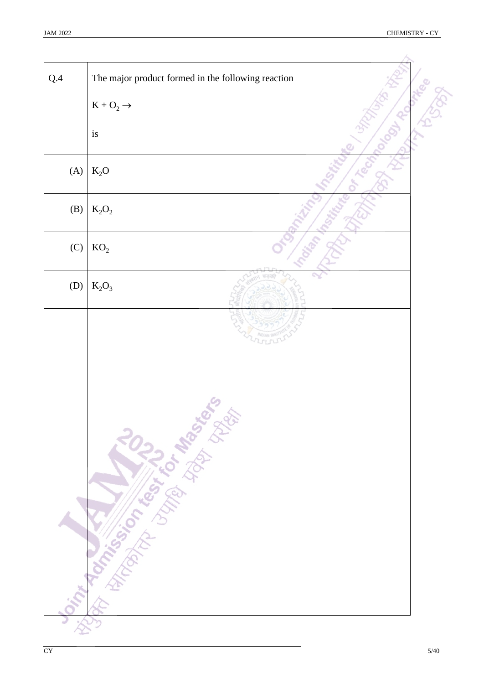| $Q.4$ | The major product formed in the following reaction |  |
|-------|----------------------------------------------------|--|
|       | $K + O_2 \rightarrow$                              |  |
|       | is                                                 |  |
| (A)   | $K_2O$                                             |  |
| (B)   | $K_2O_2$                                           |  |
| (C)   | KO <sub>2</sub>                                    |  |
| (D)   | $K_2O_3$                                           |  |
|       | <b>Joint Romance of River Avenue River</b>         |  |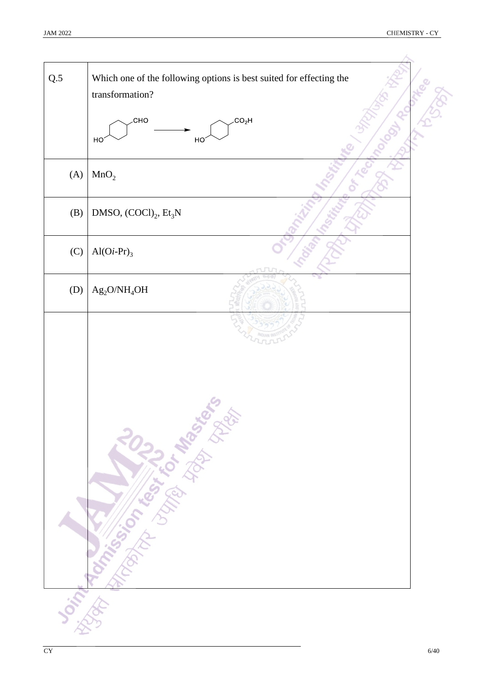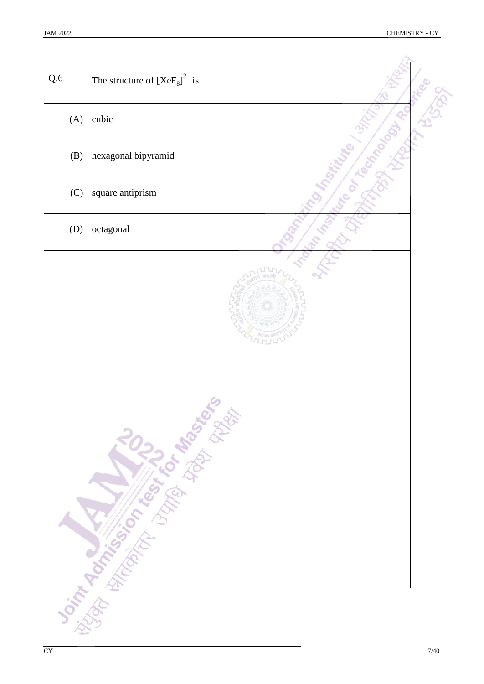| Q.6 | The structure of $[XeF_8]^{2-}$ is |  |
|-----|------------------------------------|--|
| (A) | cubic                              |  |
| (B) | hexagonal bipyramid                |  |
| (C) | square antiprism                   |  |
| (D) | octagonal                          |  |
|     | Joint Roman Library Maria States   |  |
|     |                                    |  |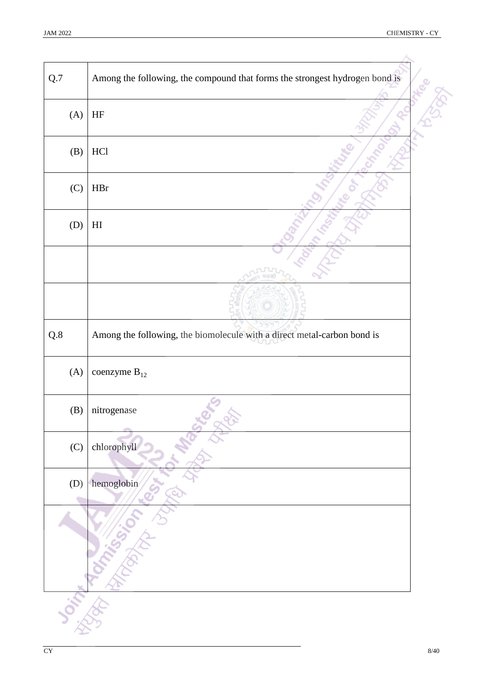| Q.7 | Among the following, the compound that forms the strongest hydrogen bond is |  |
|-----|-----------------------------------------------------------------------------|--|
| (A) | $\rm{HF}$                                                                   |  |
| (B) | HC1                                                                         |  |
| (C) | $\rm{HBr}$                                                                  |  |
| (D) | $\mathop{\rm HI}\nolimits$                                                  |  |
|     |                                                                             |  |
|     |                                                                             |  |
| Q.8 | Among the following, the biomolecule with a direct metal-carbon bond is     |  |
| (A) | coenzyme $B_{12}$                                                           |  |
| (B) | nitrogenase                                                                 |  |
| (C) | chlorophyll                                                                 |  |
| (D) | hemoglobin                                                                  |  |
|     |                                                                             |  |
|     |                                                                             |  |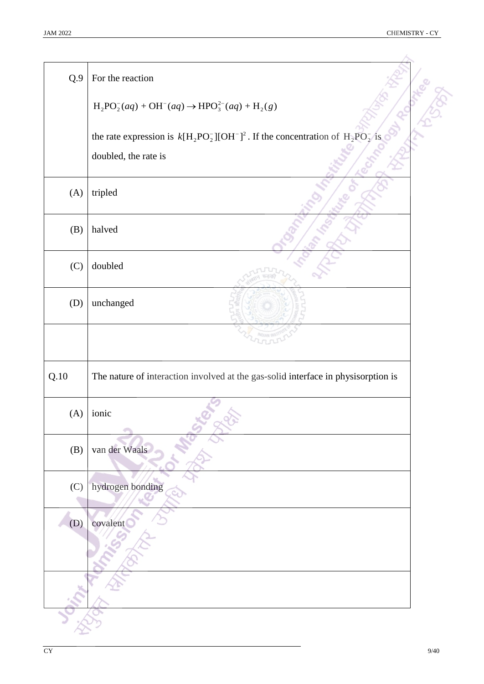| Q.9  | For the reaction                                                                       |
|------|----------------------------------------------------------------------------------------|
|      | $H_2PO_2^-(aq) + OH^-(aq) \rightarrow HPO_3^{2-}(aq) + H_2(g)$                         |
|      | the rate expression is $k[H_2PO_2^-][OH^-]^2$ . If the concentration of $H_2PO_2^-$ is |
|      | doubled, the rate is                                                                   |
| (A)  | tripled                                                                                |
| (B)  | halved                                                                                 |
| (C)  | doubled                                                                                |
| (D)  | unchanged                                                                              |
|      |                                                                                        |
| Q.10 | The nature of interaction involved at the gas-solid interface in physisorption is      |
|      | $(A)$ ionic                                                                            |
| (B)  | van der Waals                                                                          |
| (C)  | hydrogen bonding                                                                       |
| (D)  | covalent                                                                               |
|      |                                                                                        |
|      |                                                                                        |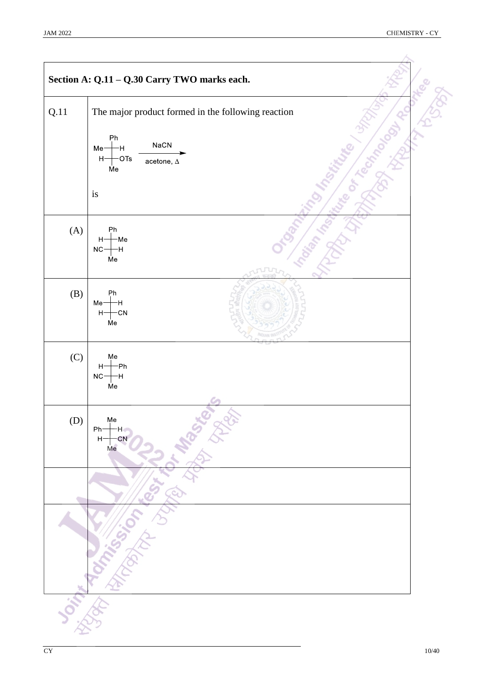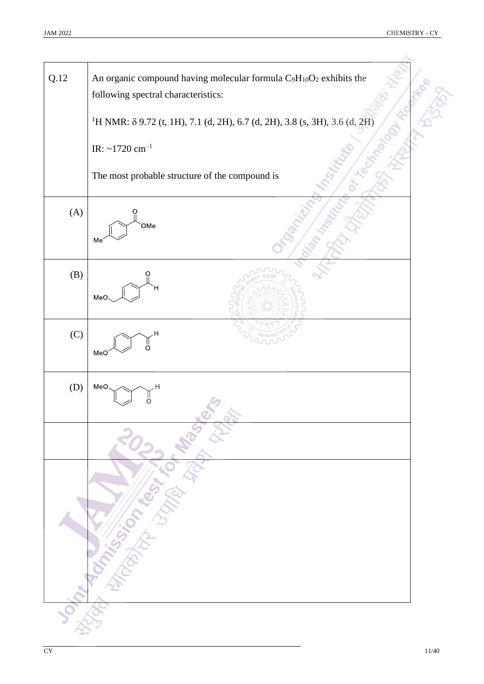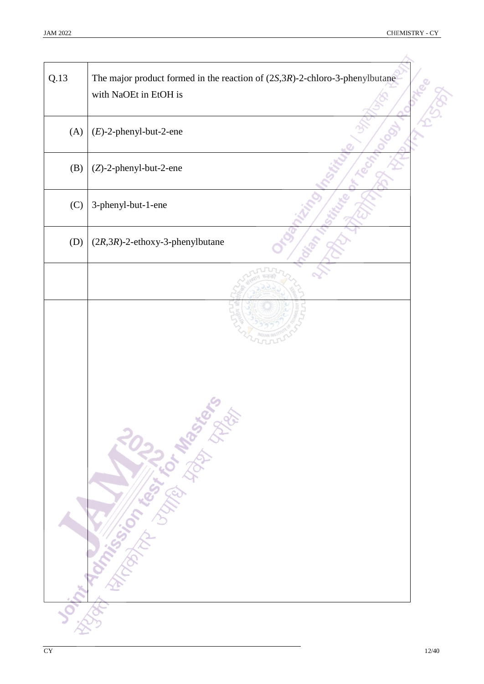$\rightarrow$ 

| Q.13 | The major product formed in the reaction of $(2S,3R)$ -2-chloro-3-phenylbutane<br>with NaOEt in EtOH is |  |
|------|---------------------------------------------------------------------------------------------------------|--|
| (A)  | $(E)$ -2-phenyl-but-2-ene                                                                               |  |
| (B)  | (Z)-2-phenyl-but-2-ene                                                                                  |  |
| (C)  | 3-phenyl-but-1-ene                                                                                      |  |
| (D)  | $(2R,3R)$ -2-ethoxy-3-phenylbutane                                                                      |  |
|      |                                                                                                         |  |
|      | Joseph Manuscript Control Manuscript                                                                    |  |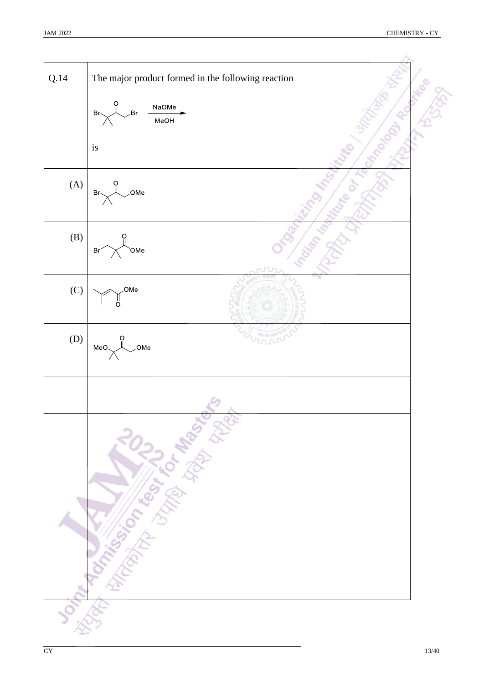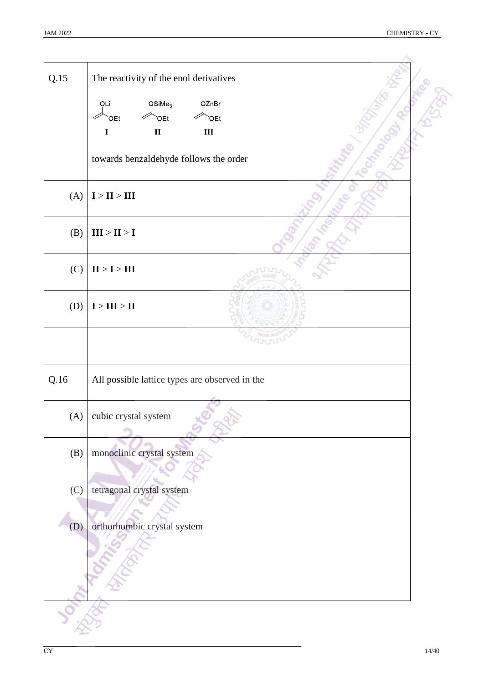| Q.15 | The reactivity of the enol derivatives         |  |
|------|------------------------------------------------|--|
|      | OSiMe <sub>3</sub><br><b>OZnBr</b><br>OLi      |  |
|      | OEt <sup>-</sup><br><b>OEt</b><br>OEt          |  |
|      | $\mathbf{II}$<br>$\mathbf{III}$<br>$\mathbf I$ |  |
|      |                                                |  |
|      | towards benzaldehyde follows the order         |  |
| (A)  | ${\bf I} > {\bf II} > {\bf III}$               |  |
| (B)  | $\mathbf{III} > \mathbf{II} > \mathbf{I}$      |  |
| (C)  | $\mathbf{II} > \mathbf{I} > \mathbf{III}$      |  |
| (D)  | $\mathbf{I} > \mathbf{III} > \mathbf{II}$      |  |
|      |                                                |  |
| Q.16 | All possible lattice types are observed in the |  |
| (A)  | cubic crystal system                           |  |
| (B)  | monoclinic crystal system                      |  |
| (C)  | tetragonal crystal system                      |  |
| (D)  | orthorhombic crystal system                    |  |
|      |                                                |  |
|      |                                                |  |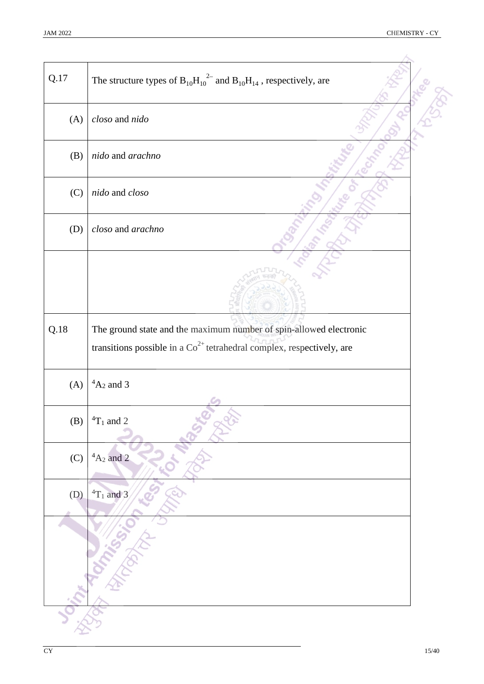$\overline{\mathcal{L}}$ 

| Q.17 | The structure types of $B_{10}H_{10}^{2}$ and $B_{10}H_{14}$ , respectively, are    |  |
|------|-------------------------------------------------------------------------------------|--|
| (A)  | closo and nido                                                                      |  |
| (B)  | nido and arachno                                                                    |  |
| (C)  | nido and closo                                                                      |  |
| (D)  | closo and arachno                                                                   |  |
|      |                                                                                     |  |
|      |                                                                                     |  |
| Q.18 | The ground state and the maximum number of spin-allowed electronic                  |  |
|      | transitions possible in a $\mathrm{Co}^{2+}$ tetrahedral complex, respectively, are |  |
| (A)  | ${}^4A_2$ and 3                                                                     |  |
| (B)  | ${}^{4}T_1$ and 2                                                                   |  |
| (C)  | $4A_2$ and 2                                                                        |  |
| (D)  | ${}^4T_1$ and 3                                                                     |  |
|      |                                                                                     |  |
|      |                                                                                     |  |
|      |                                                                                     |  |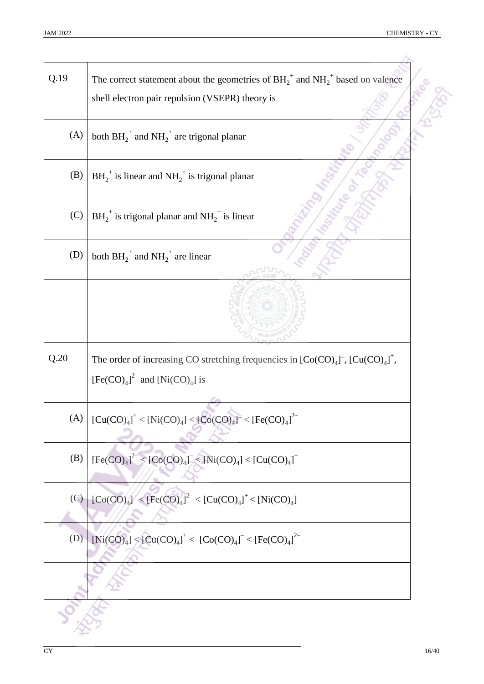| Q.19 | The correct statement about the geometries of $BH_2^+$ and $NH_2^+$ based on valence<br>shell electron pair repulsion (VSEPR) theory is       |
|------|-----------------------------------------------------------------------------------------------------------------------------------------------|
| (A)  | both $BH_2^+$ and $NH_2^+$ are trigonal planar                                                                                                |
| (B)  | $BH_2^+$ is linear and $NH_2^+$ is trigonal planar                                                                                            |
| (C)  | $BH_2^+$ is trigonal planar and $NH_2^+$ is linear                                                                                            |
| (D)  | both $BH_2^+$ and $NH_2^+$ are linear                                                                                                         |
|      |                                                                                                                                               |
| Q.20 | The order of increasing CO stretching frequencies in $[Co(CO)4]$ <sup>-</sup> , $[Cu(CO)4]$ <sup>+</sup> ,<br>$[Fe(CO)4]2$ and $[Ni(CO)4]$ is |
| (A)  | $[Cu(CO)4] < [Ni(CO)4] < [Co(CO)4] < [Fe(CO)4]$                                                                                               |
| (B)  | $[Fe(CO)4]2 < [Co(CO)4] < [Ni(CO)4] < [Cu(CO)4]+$                                                                                             |
| (C)  | $[Co(CO)4]- < [Fe(CO)4]- < [Cu(CO)4]+ < [Ni(CO)4]$                                                                                            |
| (D)  | $[Ni(CO)4] < [Cu(CO)4]+ < [Co(CO)4]- < [Fe(CO)4]2-$                                                                                           |
|      |                                                                                                                                               |
|      |                                                                                                                                               |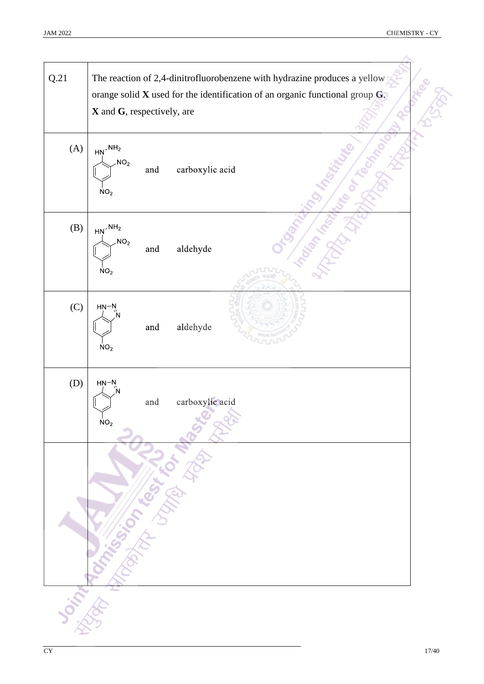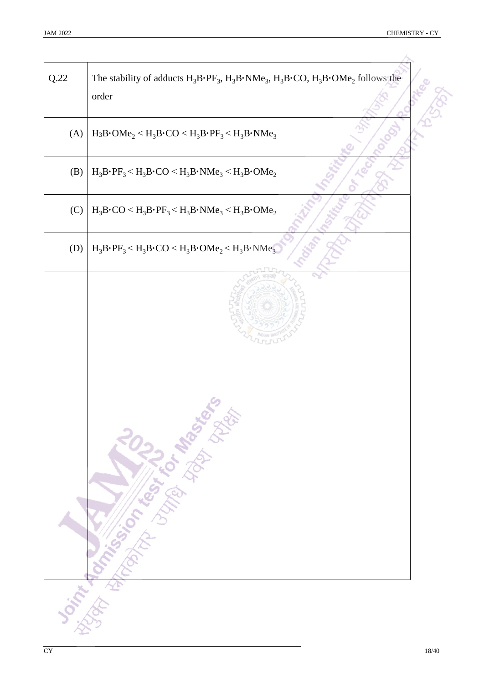╲

| Q.22 | The stability of adducts $H_3B\cdot PF_3$ , $H_3B\cdot NMe_3$ , $H_3B\cdot CO$ , $H_3B\cdot OMe_2$ follows the<br>order |
|------|-------------------------------------------------------------------------------------------------------------------------|
| (A)  | $H_3B\cdot OMe_2 \leq H_3B\cdot CO \leq H_3B\cdot PF_3 \leq H_3B\cdot NMe_3$                                            |
| (B)  | $H_3B\cdot PF_3 < H_3B\cdot CO < H_3B\cdot NMe_3 < H_3B\cdot OMe_2$                                                     |
| (C)  | $H_3B\cdot CO \leq H_3B\cdot PF_3 \leq H_3B\cdot NMe_3 \leq H_3B\cdot OMe_2$                                            |
| (D)  | $H_3B\cdot PF_3 < H_3B\cdot CO < H_3B\cdot OMe_2 < H_3B\cdot NMe_3$                                                     |
|      | Joint Tommer on the State of the Basic                                                                                  |
|      |                                                                                                                         |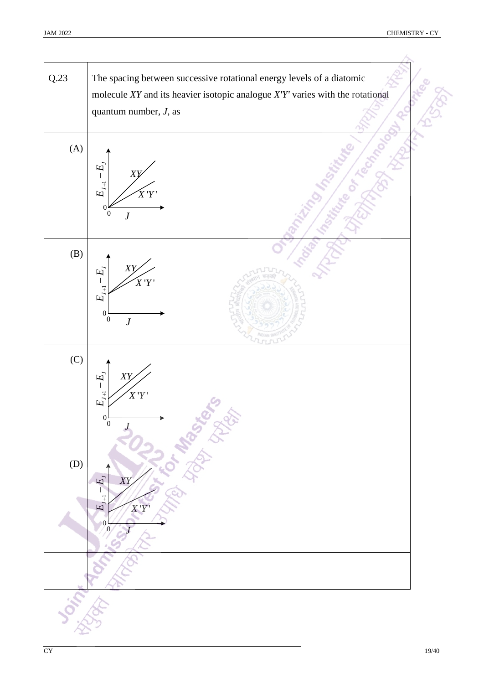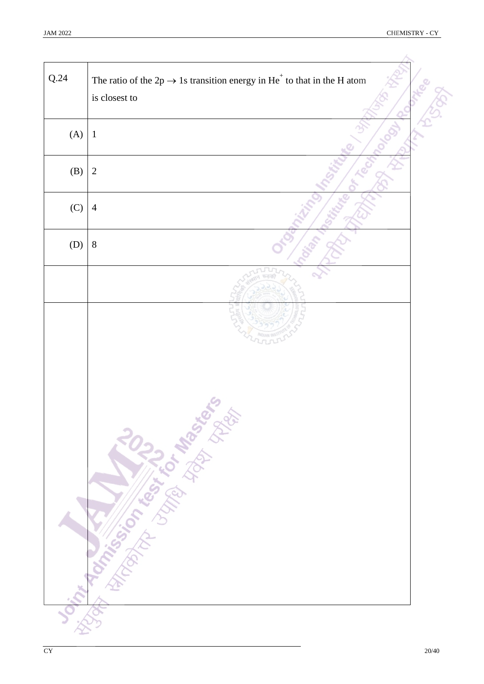| Q.24 | The ratio of the 2p $\rightarrow$ 1s transition energy in He <sup>+</sup> to that in the H atom<br>is closest to |  |
|------|------------------------------------------------------------------------------------------------------------------|--|
| (A)  | $\mathbf{1}$                                                                                                     |  |
| (B)  | $\overline{2}$                                                                                                   |  |
| (C)  | $\overline{4}$                                                                                                   |  |
| (D)  | $8\,$                                                                                                            |  |
|      |                                                                                                                  |  |
|      | <b>Joseph Romando River Library Rivers</b>                                                                       |  |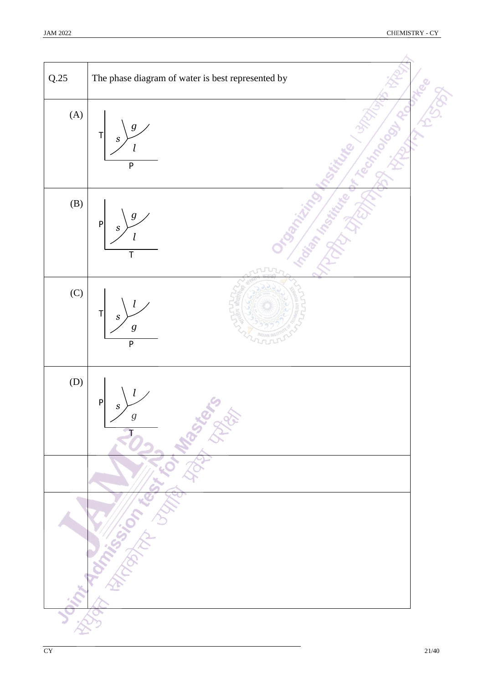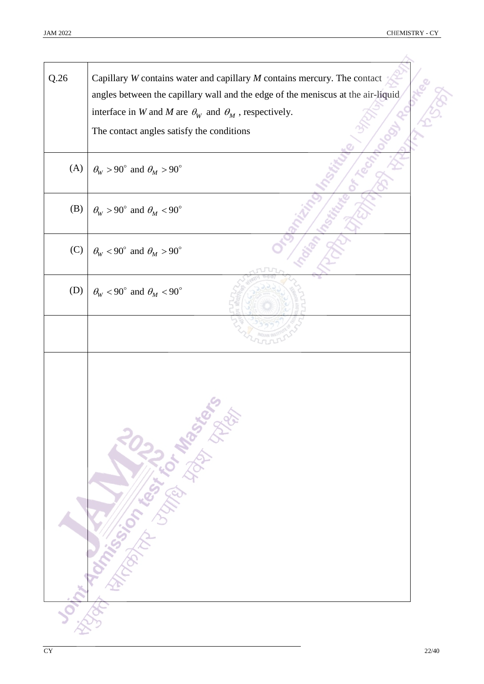| Q.26 | Capillary $W$ contains water and capillary $M$ contains mercury. The contact<br>angles between the capillary wall and the edge of the meniscus at the air-liquid |
|------|------------------------------------------------------------------------------------------------------------------------------------------------------------------|
|      | interface in W and M are $\theta_W$ and $\theta_M$ , respectively.                                                                                               |
|      | The contact angles satisfy the conditions                                                                                                                        |
| (A)  | $\theta_W > 90^\circ$ and $\theta_M > 90^\circ$                                                                                                                  |
| (B)  | $\theta_W > 90^\circ$ and $\theta_M < 90^\circ$                                                                                                                  |
| (C)  | $\theta_{W}$ < 90° and $\theta_{M}$ > 90°                                                                                                                        |
| (D)  | $\theta_{W}$ < 90° and $\theta_{M}$ < 90°                                                                                                                        |
|      |                                                                                                                                                                  |
|      | <b>Joshuan Marian Company of Marian Rivers</b>                                                                                                                   |
|      |                                                                                                                                                                  |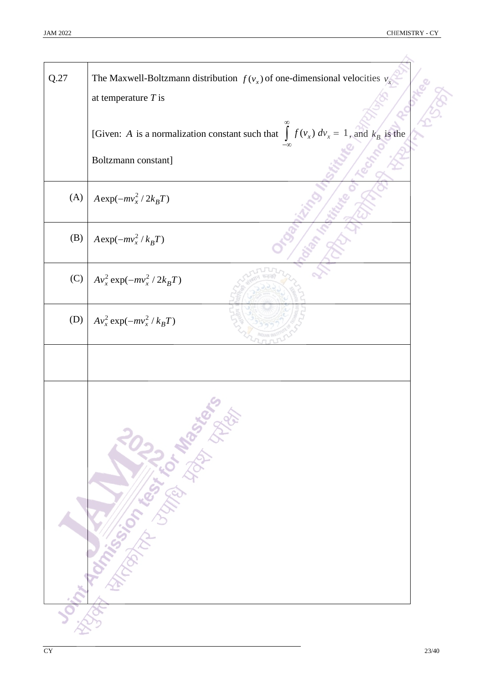| Q.27 | The Maxwell-Boltzmann distribution $f(v_x)$ of one-dimensional velocities $v_x$<br>at temperature $T$ is                  |
|------|---------------------------------------------------------------------------------------------------------------------------|
|      | [Given: A is a normalization constant such that $\int f(v_x) dv_x = 1$ , and $k_B$ is the                                 |
|      | Boltzmann constant]                                                                                                       |
| (A)  | $A \exp(-mv_x^2/2k_BT)$                                                                                                   |
| (B)  | $A \exp(-mv_x^2/k_BT)$                                                                                                    |
| (C)  | $Av_x^2 \exp(-mv_x^2/2k_BT)$                                                                                              |
| (D)  | $Av_x^2 \exp(-mv_x^2/k_BT)$                                                                                               |
|      |                                                                                                                           |
|      | <b>Don't Manufacture of the School Assistance of the Contractor of the Contractor of the Contractor of the Contractor</b> |
|      |                                                                                                                           |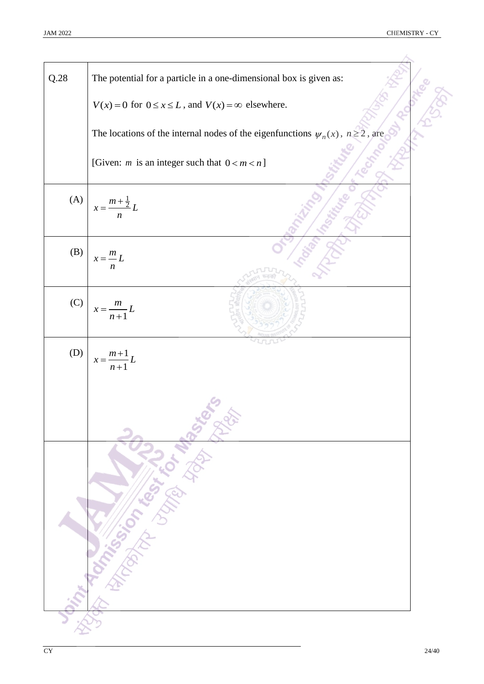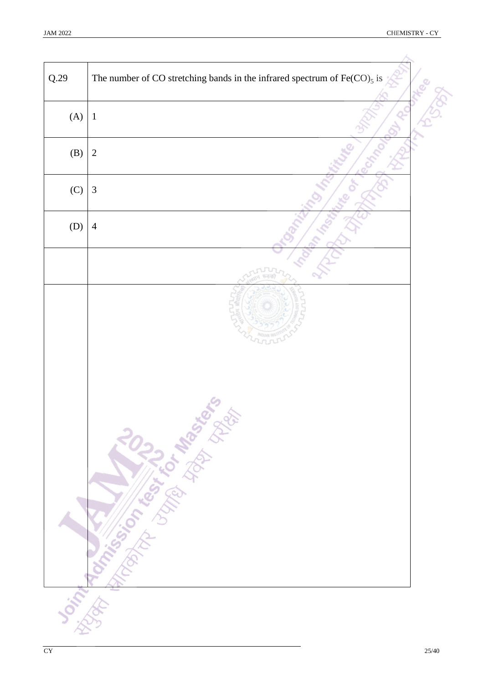| Q.29 | The number of CO stretching bands in the infrared spectrum of $Fe(CO)_5$ is |
|------|-----------------------------------------------------------------------------|
| (A)  | $1\,$                                                                       |
| (B)  | $\overline{2}$                                                              |
| (C)  | $\mathfrak{Z}$                                                              |
| (D)  | $\overline{4}$                                                              |
|      |                                                                             |
|      |                                                                             |
|      |                                                                             |
|      | <b>Joint Romand Manufacture River Rivers</b>                                |
|      |                                                                             |
|      |                                                                             |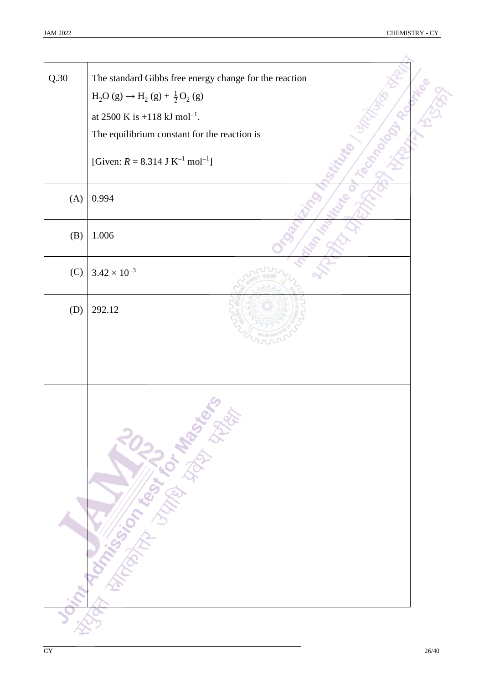i,

| Q.30 | The standard Gibbs free energy change for the reaction    |  |
|------|-----------------------------------------------------------|--|
|      | $H_2O(g) \to H_2(g) + \frac{1}{2}O_2(g)$                  |  |
|      | at 2500 K is +118 kJ mol <sup>-1</sup> .                  |  |
|      | The equilibrium constant for the reaction is              |  |
|      | [Given: $R = 8.314$ J K <sup>-1</sup> mol <sup>-1</sup> ] |  |
| (A)  | 0.994                                                     |  |
| (B)  | 1.006                                                     |  |
| (C)  | $3.42 \times 10^{-3}$                                     |  |
| (D)  | 292.12                                                    |  |
|      |                                                           |  |
|      | <b>Distribution of the Manufacture of the Science</b>     |  |
|      |                                                           |  |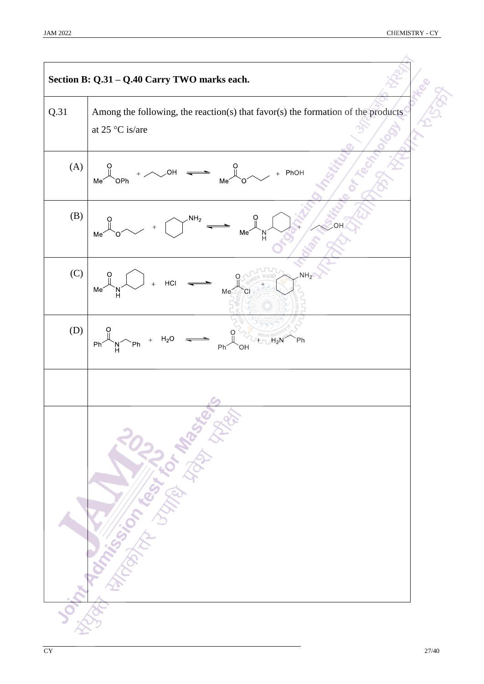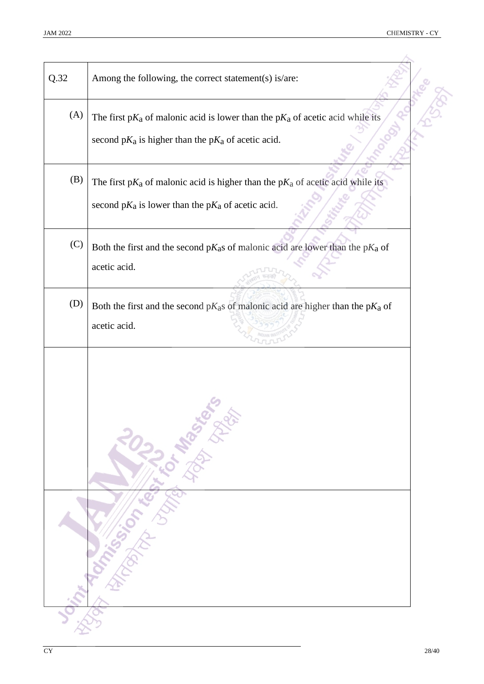| Q.32 | Among the following, the correct statement(s) is/are:                                                                                         |
|------|-----------------------------------------------------------------------------------------------------------------------------------------------|
| (A)  | The first $pK_a$ of malonic acid is lower than the $pK_a$ of acetic acid while its<br>second $pK_a$ is higher than the $pK_a$ of acetic acid. |
| (B)  | The first $pK_a$ of malonic acid is higher than the $pK_a$ of acetic acid while its<br>second $pK_a$ is lower than the $pK_a$ of acetic acid. |
| (C)  | Both the first and the second $pK_a s$ of malonic acid are lower than the $pK_a$ of<br>acetic acid.                                           |
| (D)  | Both the first and the second $pK_a s$ of malonic acid are higher than the $pK_a$ of<br>acetic acid.                                          |
|      | <b>Oint Tommer School Ash Ash Branch</b>                                                                                                      |
|      |                                                                                                                                               |
|      |                                                                                                                                               |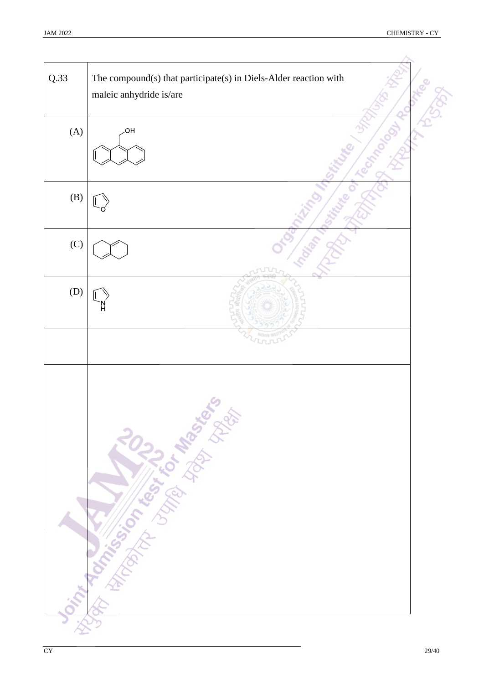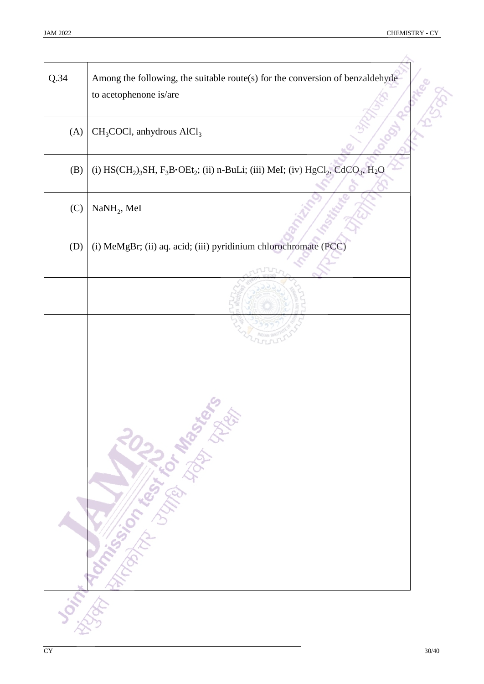| Q.34 | Among the following, the suitable route(s) for the conversion of benzaldehyde<br>to acetophenone is/are                                                             |
|------|---------------------------------------------------------------------------------------------------------------------------------------------------------------------|
| (A)  | $CH3COCl$ , anhydrous $AlCl3$                                                                                                                                       |
| (B)  | (i) HS(CH <sub>2</sub> ) <sub>3</sub> SH, F <sub>3</sub> B·OEt <sub>2</sub> ; (ii) n-BuLi; (iii) MeI; (iv) HgCl <sub>2</sub> , CdCO <sub>3</sub> , H <sub>2</sub> O |
| (C)  | $NaNH2$ , MeI                                                                                                                                                       |
| (D)  | (i) MeMgBr; (ii) aq. acid; (iii) pyridinium chlorochromate (PCC)                                                                                                    |
|      |                                                                                                                                                                     |
|      | Joseph Rock of Right Library States                                                                                                                                 |
|      |                                                                                                                                                                     |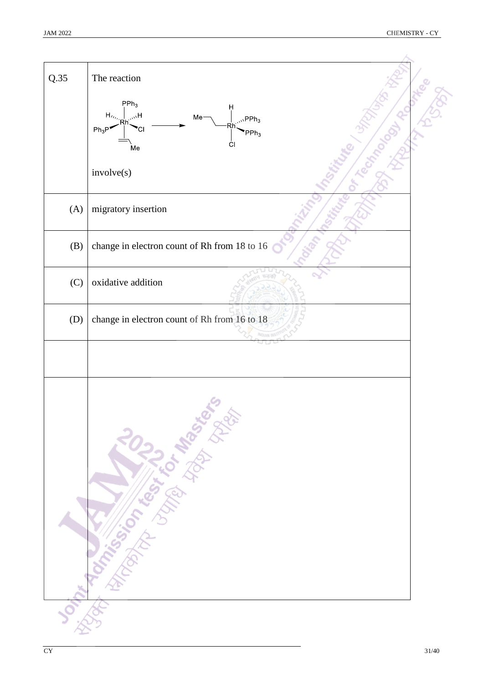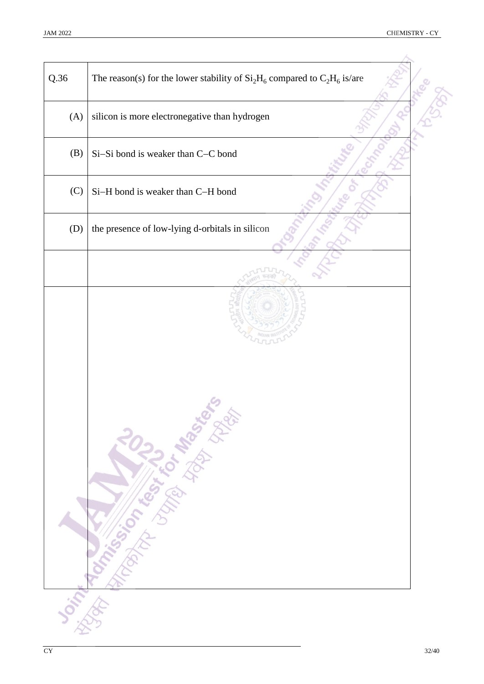| Q.36 | The reason(s) for the lower stability of $Si2H6$ compared to $C2H6$ is/are |  |
|------|----------------------------------------------------------------------------|--|
| (A)  | silicon is more electronegative than hydrogen                              |  |
| (B)  | Si-Si bond is weaker than C-C bond                                         |  |
| (C)  | Si-H bond is weaker than C-H bond                                          |  |
| (D)  | the presence of low-lying d-orbitals in silicon                            |  |
|      |                                                                            |  |
|      | <b>Don't Months Science Control Management</b>                             |  |
|      |                                                                            |  |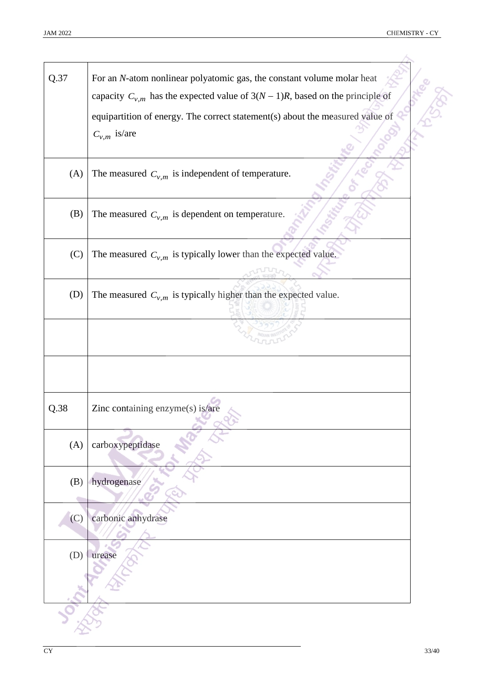| Q.37 | For an N-atom nonlinear polyatomic gas, the constant volume molar heat             |
|------|------------------------------------------------------------------------------------|
|      | capacity $C_{v,m}$ has the expected value of $3(N-1)R$ , based on the principle of |
|      | equipartition of energy. The correct statement(s) about the measured value of      |
|      | $C_{v,m}$ is/are                                                                   |
|      |                                                                                    |
| (A)  | The measured $C_{v,m}$ is independent of temperature.                              |
| (B)  | The measured $C_{v,m}$ is dependent on temperature.                                |
| (C)  | The measured $C_{v,m}$ is typically lower than the expected value.                 |
|      |                                                                                    |
| (D)  | The measured $C_{v,m}$ is typically higher than the expected value.                |
|      |                                                                                    |
|      |                                                                                    |
|      |                                                                                    |
|      |                                                                                    |
| Q.38 | Zinc containing enzyme(s) is/are                                                   |
| (A)  | carboxypeptidase                                                                   |
| (B)  | hydrogenase                                                                        |
| (C)  | carbonic anhydrase                                                                 |
| (D)  | urease                                                                             |
|      |                                                                                    |
|      |                                                                                    |
|      |                                                                                    |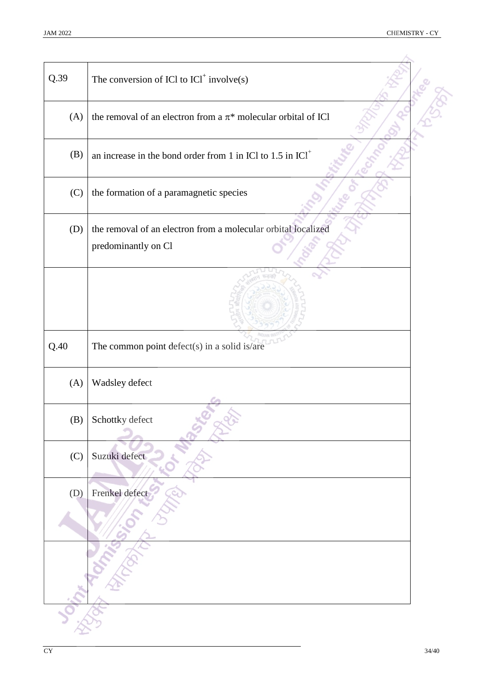| Q.39 | The conversion of ICl to $ICl^+$ involve(s)                                          |  |
|------|--------------------------------------------------------------------------------------|--|
| (A)  | the removal of an electron from a $\pi^*$ molecular orbital of ICl                   |  |
| (B)  | an increase in the bond order from 1 in ICl to 1.5 in ICl <sup>+</sup>               |  |
| (C)  | the formation of a paramagnetic species                                              |  |
| (D)  | the removal of an electron from a molecular orbital localized<br>predominantly on Cl |  |
|      |                                                                                      |  |
|      |                                                                                      |  |
| Q.40 | The common point defect(s) in a solid is/are                                         |  |
| (A)  | Wadsley defect                                                                       |  |
| (B)  | Schottky defect                                                                      |  |
| (C)  | Suzuki defect                                                                        |  |
| (D)  | Frenkel defect                                                                       |  |
|      |                                                                                      |  |
|      |                                                                                      |  |
|      |                                                                                      |  |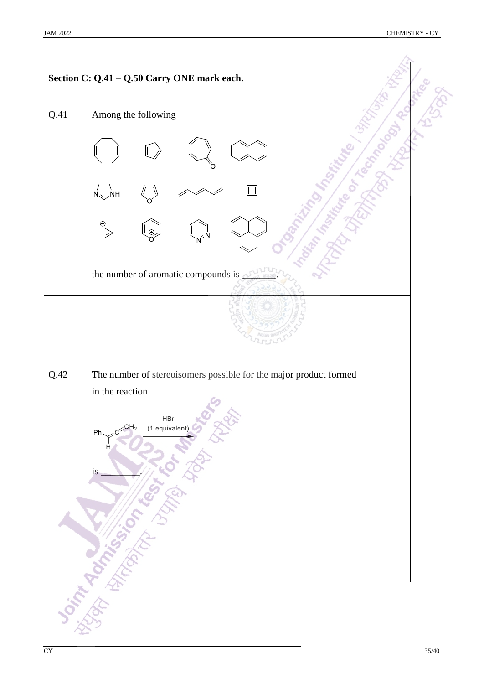|      | Section C: Q.41 - Q.50 Carry ONE mark each.                                           |  |
|------|---------------------------------------------------------------------------------------|--|
| Q.41 | Among the following                                                                   |  |
|      |                                                                                       |  |
|      | <b>NH</b><br>N.                                                                       |  |
|      |                                                                                       |  |
|      | the number of aromatic compounds is $\_\_$                                            |  |
|      |                                                                                       |  |
| Q.42 | The number of stereoisomers possible for the major product formed                     |  |
|      | in the reaction                                                                       |  |
|      | HBr<br>LE<br>$C^{2}$ CH <sub>2</sub><br>(1 equivalent)<br>$Ph_{\sim}$<br>Ĥ<br>is<br>Ò |  |
|      |                                                                                       |  |
|      |                                                                                       |  |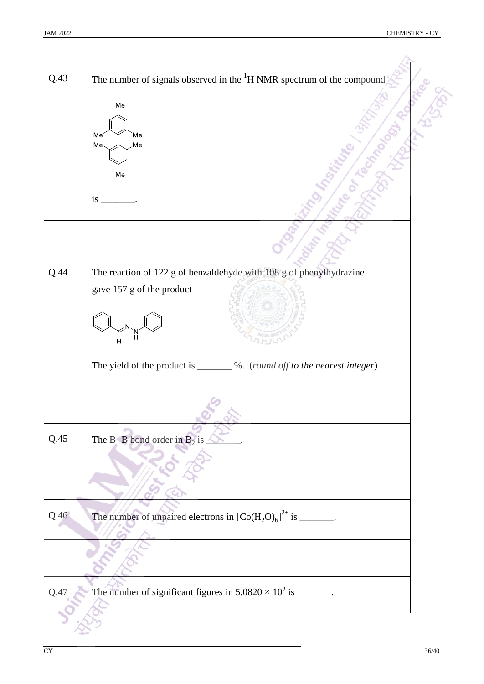| Q.43 | The number of signals observed in the ${}^{1}H$ NMR spectrum of the compound |  |
|------|------------------------------------------------------------------------------|--|
|      | Me                                                                           |  |
|      |                                                                              |  |
|      | Me<br>Me                                                                     |  |
|      | Me<br>Me                                                                     |  |
|      | Me                                                                           |  |
|      |                                                                              |  |
|      | is                                                                           |  |
|      |                                                                              |  |
|      |                                                                              |  |
| Q.44 | The reaction of 122 g of benzaldehyde with 108 g of phenylhydrazine          |  |
|      | gave 157 g of the product                                                    |  |
|      |                                                                              |  |
|      |                                                                              |  |
|      |                                                                              |  |
|      | The yield of the product is _______ %. (round off to the nearest integer)    |  |
|      |                                                                              |  |
|      |                                                                              |  |
|      |                                                                              |  |
| Q.45 | The B-B bond order in $B_2$ is $\triangle$                                   |  |
|      |                                                                              |  |
|      |                                                                              |  |
|      |                                                                              |  |
| Q.46 | The number of unpaired electrons in $[Co(H_2O)_6]^{2+}$ is _______.          |  |
|      |                                                                              |  |
|      |                                                                              |  |
|      |                                                                              |  |
| Q.47 | The number of significant figures in $5.0820 \times 10^2$ is _______.        |  |
|      |                                                                              |  |
|      |                                                                              |  |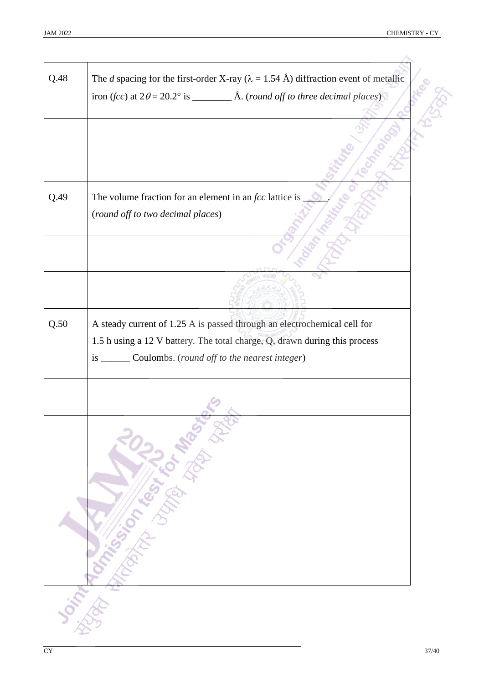| Q.48 | The <i>d</i> spacing for the first-order X-ray ( $\lambda = 1.54$ Å) diffraction event of metallic |
|------|----------------------------------------------------------------------------------------------------|
|      |                                                                                                    |
|      |                                                                                                    |
|      |                                                                                                    |
|      |                                                                                                    |
|      |                                                                                                    |
| Q.49 | The volume fraction for an element in an $fcc$ lattice is<br>(round off to two decimal places)     |
|      |                                                                                                    |
|      |                                                                                                    |
|      |                                                                                                    |
|      |                                                                                                    |
| Q.50 | A steady current of 1.25 A is passed through an electrochemical cell for                           |
|      | 1.5 h using a 12 V battery. The total charge, Q, drawn during this process                         |
|      | is _______ Coulombs. (round off to the nearest integer)                                            |
|      |                                                                                                    |
|      |                                                                                                    |
|      | Joseph Manufacturer Library Manufacturer                                                           |
|      |                                                                                                    |
|      |                                                                                                    |
|      |                                                                                                    |
|      |                                                                                                    |
|      |                                                                                                    |
|      |                                                                                                    |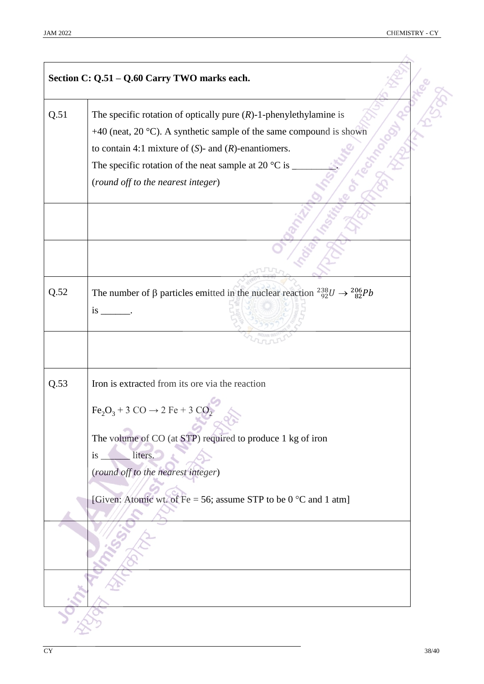|      | Section C: Q.51 - Q.60 Carry TWO marks each.                                                                                                                                                                                                                                                                                                          |
|------|-------------------------------------------------------------------------------------------------------------------------------------------------------------------------------------------------------------------------------------------------------------------------------------------------------------------------------------------------------|
| Q.51 | The specific rotation of optically pure $(R)$ -1-phenylethylamine is<br>+40 (neat, $20^{\circ}$ C). A synthetic sample of the same compound is shown<br>to contain 4:1 mixture of $(S)$ - and $(R)$ -enantiomers.<br>The specific rotation of the neat sample at 20 $^{\circ}$ C is<br>(round off to the nearest integer)                             |
|      |                                                                                                                                                                                                                                                                                                                                                       |
| Q.52 | The number of $\beta$ particles emitted in the nuclear reaction $^{238}_{92}U \rightarrow ^{206}_{82}Pb$<br>$is$ $\qquad$ .                                                                                                                                                                                                                           |
| Q.53 | Iron is extracted from its ore via the reaction<br>$\text{Fe}_2\text{O}_3$ + 3 CO $\rightarrow$ 2 Fe + 3 CO <sub>2</sub><br>The volume of CO (at STP) required to produce 1 kg of iron<br>liters.<br>$is$ <sub><math>-</math></sub><br>(round off to the nearest integer)<br>[Given: Atomic wt. of Fe = 56; assume STP to be $0^{\circ}$ C and 1 atm] |
|      |                                                                                                                                                                                                                                                                                                                                                       |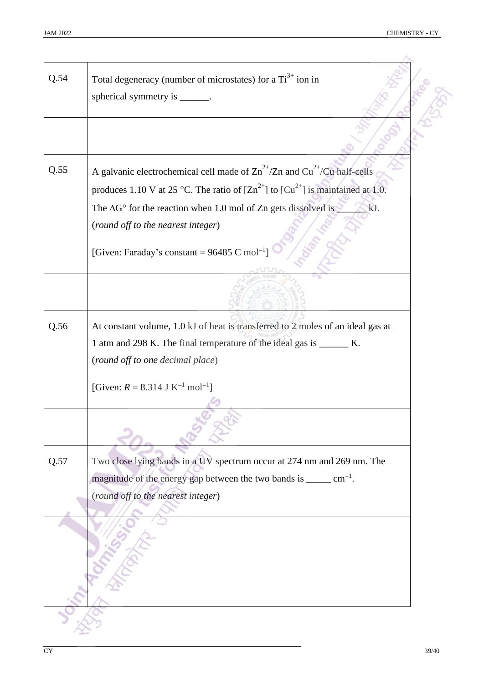| Q.54 | Total degeneracy (number of microstates) for a $Ti3+$ ion in                                                 |
|------|--------------------------------------------------------------------------------------------------------------|
|      | spherical symmetry is _______.                                                                               |
|      |                                                                                                              |
|      |                                                                                                              |
| Q.55 | A galvanic electrochemical cell made of $\text{Zn}^{2+}/\text{Zn}$ and $\text{Cu}^{2+}/\text{Cu}$ half-cells |
|      | produces 1.10 V at 25 °C. The ratio of $[Zn^{2+}]$ to $[Cu^{2+}]$ is maintained at 1.0.                      |
|      | The $\Delta G^{\circ}$ for the reaction when 1.0 mol of Zn gets dissolved is $\Box$<br>kJ.                   |
|      | (round off to the nearest integer)                                                                           |
|      | [Given: Faraday's constant = $96485$ C mol <sup>-1</sup> ]                                                   |
|      |                                                                                                              |
|      |                                                                                                              |
|      |                                                                                                              |
| Q.56 | At constant volume, 1.0 kJ of heat is transferred to 2 moles of an ideal gas at                              |
|      | 1 atm and 298 K. The final temperature of the ideal gas is _______ K.                                        |
|      | (round off to one decimal place)                                                                             |
|      | [Given: $R = 8.314$ J K <sup>-1</sup> mol <sup>-1</sup> ]                                                    |
|      |                                                                                                              |
|      |                                                                                                              |
| Q.57 | Two close lying bands in a UV spectrum occur at 274 nm and 269 nm. The                                       |
|      | magnitude of the energy gap between the two bands is $\_\_\_\_$ cm <sup>-1</sup> .                           |
|      | (round off to the nearest integer)                                                                           |
|      |                                                                                                              |
|      |                                                                                                              |
|      |                                                                                                              |
|      |                                                                                                              |